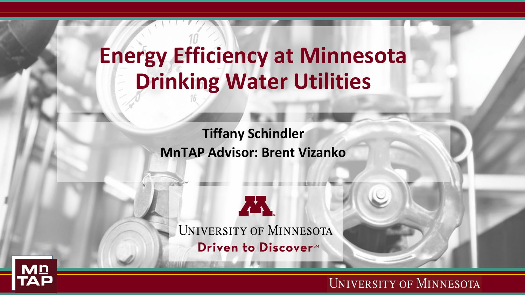### **Energy Efficiency at Minnesota Drinking Water Utilities**

**Tiffany Schindler MnTAP Advisor: Brent Vizanko**

A. UNIVERSITY OF MINNESOTA Driven to Discover<sup>SM</sup>

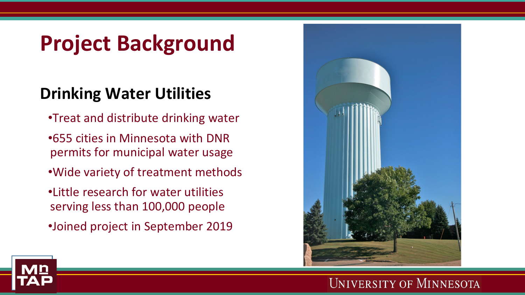### **Project Background**

### **Drinking Water Utilities**

- •Treat and distribute drinking water
- •655 cities in Minnesota with DNR permits for municipal water usage
- •Wide variety of treatment methods
- •Little research for water utilities serving less than 100,000 people
- •Joined project in September 2019

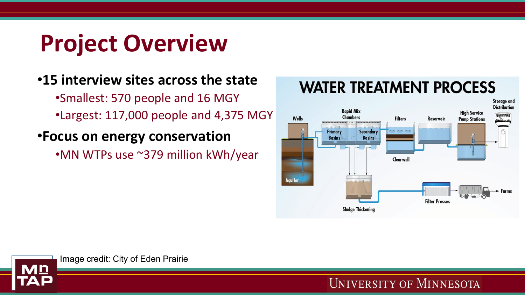# **Project Overview**

### •**15 interview sites across the state**

•Smallest: 570 people and 16 MGY •Largest: 117,000 people and 4,375 MGY

#### •**Focus on energy conservation**

•MN WTPs use ~379 million kWh/year

### **WATER TREATMENT PROCESS**





Image credit: City of Eden Prairie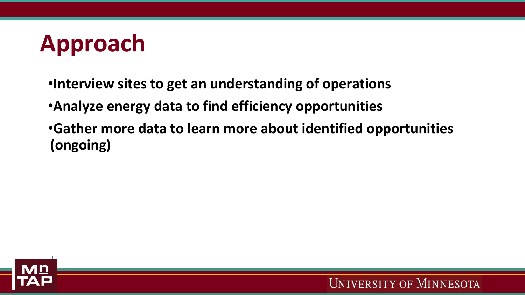

- •**Interview sites to get an understanding of operations**
- •**Analyze energy data to find efficiency opportunities**
- •**Gather more data to learn more about identified opportunities (ongoing)**

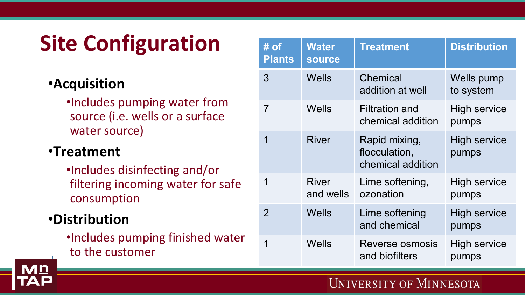# **Site Configuration**

### •**Acquisition**

•Includes pumping water from source (i.e. wells or a surface water source)

#### •**Treatment**

•Includes disinfecting and/or filtering incoming water for safe consumption

#### •**Distribution**

•Includes pumping finished water to the customer

| $#$ of<br><b>Plants</b> | <b>Water</b><br><b>source</b> | <b>Treatment</b>                                    | <b>Distribution</b>          |  |
|-------------------------|-------------------------------|-----------------------------------------------------|------------------------------|--|
| 3                       | Wells                         | Chemical<br>addition at well                        | Wells pump<br>to system      |  |
| $\overline{7}$          | <b>Wells</b>                  | <b>Filtration and</b><br>chemical addition          | <b>High service</b><br>pumps |  |
| 1                       | <b>River</b>                  | Rapid mixing,<br>flocculation,<br>chemical addition | <b>High service</b><br>pumps |  |
| 1                       | <b>River</b><br>and wells     | Lime softening,<br>ozonation                        | <b>High service</b><br>pumps |  |
| $\overline{2}$          | <b>Wells</b>                  | Lime softening<br>and chemical                      | <b>High service</b><br>pumps |  |
| 1                       | Wells                         | Reverse osmosis<br>and biofilters                   | High service<br>pumps        |  |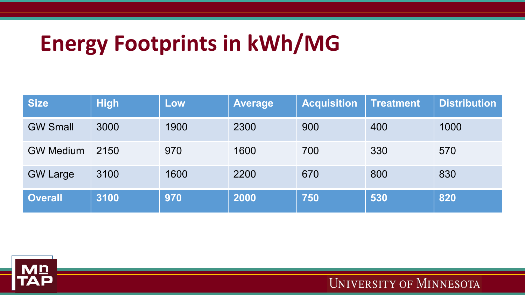### **Energy Footprints in kWh/MG**

| <b>Size</b>      | <b>High</b> | Low  | <b>Average</b> | <b>Acquisition</b> | <b>Treatment</b> | <b>Distribution</b> |
|------------------|-------------|------|----------------|--------------------|------------------|---------------------|
| <b>GW Small</b>  | 3000        | 1900 | 2300           | 900                | 400              | 1000                |
| <b>GW Medium</b> | 2150        | 970  | 1600           | 700                | 330              | 570                 |
| <b>GW Large</b>  | 3100        | 1600 | 2200           | 670                | 800              | 830                 |
| <b>Overall</b>   | 3100        | 970  | 2000           | 750                | 530              | 820                 |

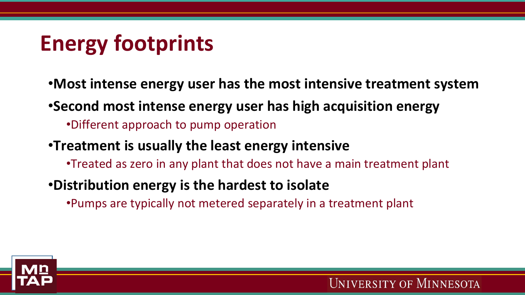## **Energy footprints**

- •**Most intense energy user has the most intensive treatment system**
- •**Second most intense energy user has high acquisition energy**
	- •Different approach to pump operation
- •**Treatment is usually the least energy intensive**
	- •Treated as zero in any plant that does not have a main treatment plant
- •**Distribution energy is the hardest to isolate**
	- •Pumps are typically not metered separately in a treatment plant

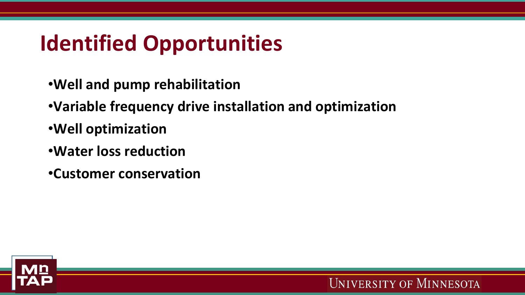### **Identified Opportunities**

- •**Well and pump rehabilitation**
- •**Variable frequency drive installation and optimization**
- •**Well optimization**
- •**Water loss reduction**
- •**Customer conservation**